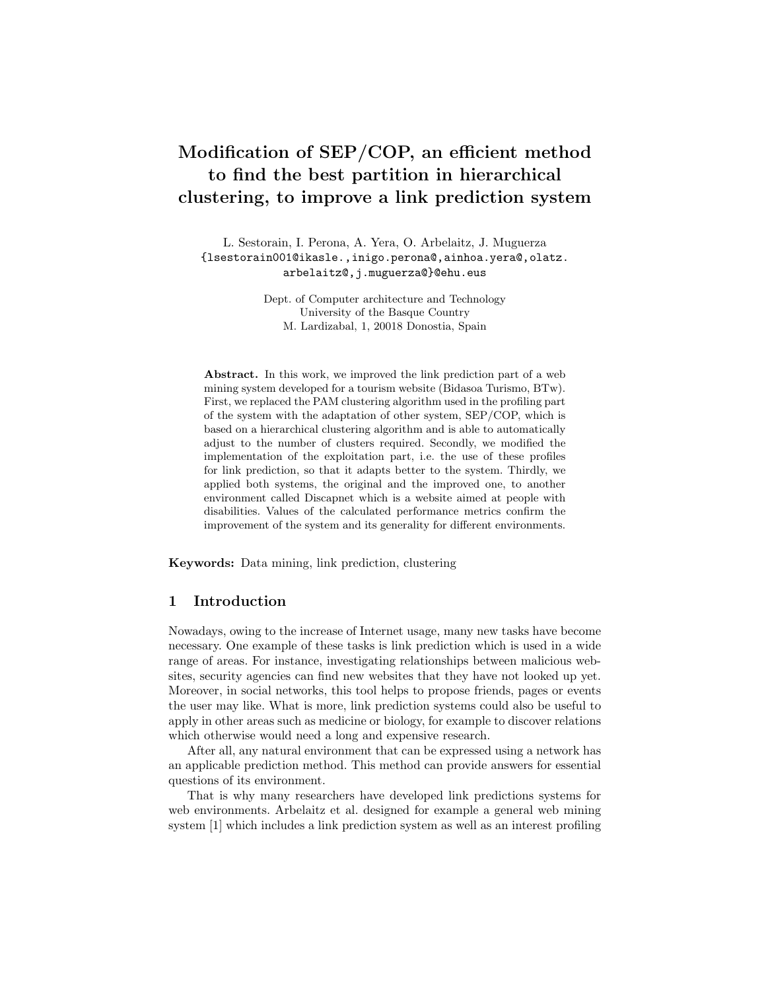# Modification of SEP/COP, an efficient method to find the best partition in hierarchical clustering, to improve a link prediction system

L. Sestorain, I. Perona, A. Yera, O. Arbelaitz, J. Muguerza {lsestorain001@ikasle.,inigo.perona@,ainhoa.yera@,olatz. arbelaitz@,j.muguerza@}@ehu.eus

> Dept. of Computer architecture and Technology University of the Basque Country M. Lardizabal, 1, 20018 Donostia, Spain

Abstract. In this work, we improved the link prediction part of a web mining system developed for a tourism website (Bidasoa Turismo, BTw). First, we replaced the PAM clustering algorithm used in the profiling part of the system with the adaptation of other system, SEP/COP, which is based on a hierarchical clustering algorithm and is able to automatically adjust to the number of clusters required. Secondly, we modified the implementation of the exploitation part, i.e. the use of these profiles for link prediction, so that it adapts better to the system. Thirdly, we applied both systems, the original and the improved one, to another environment called Discapnet which is a website aimed at people with disabilities. Values of the calculated performance metrics confirm the improvement of the system and its generality for different environments.

Keywords: Data mining, link prediction, clustering

# 1 Introduction

Nowadays, owing to the increase of Internet usage, many new tasks have become necessary. One example of these tasks is link prediction which is used in a wide range of areas. For instance, investigating relationships between malicious websites, security agencies can find new websites that they have not looked up yet. Moreover, in social networks, this tool helps to propose friends, pages or events the user may like. What is more, link prediction systems could also be useful to apply in other areas such as medicine or biology, for example to discover relations which otherwise would need a long and expensive research.

After all, any natural environment that can be expressed using a network has an applicable prediction method. This method can provide answers for essential questions of its environment.

That is why many researchers have developed link predictions systems for web environments. Arbelaitz et al. designed for example a general web mining system [1] which includes a link prediction system as well as an interest profiling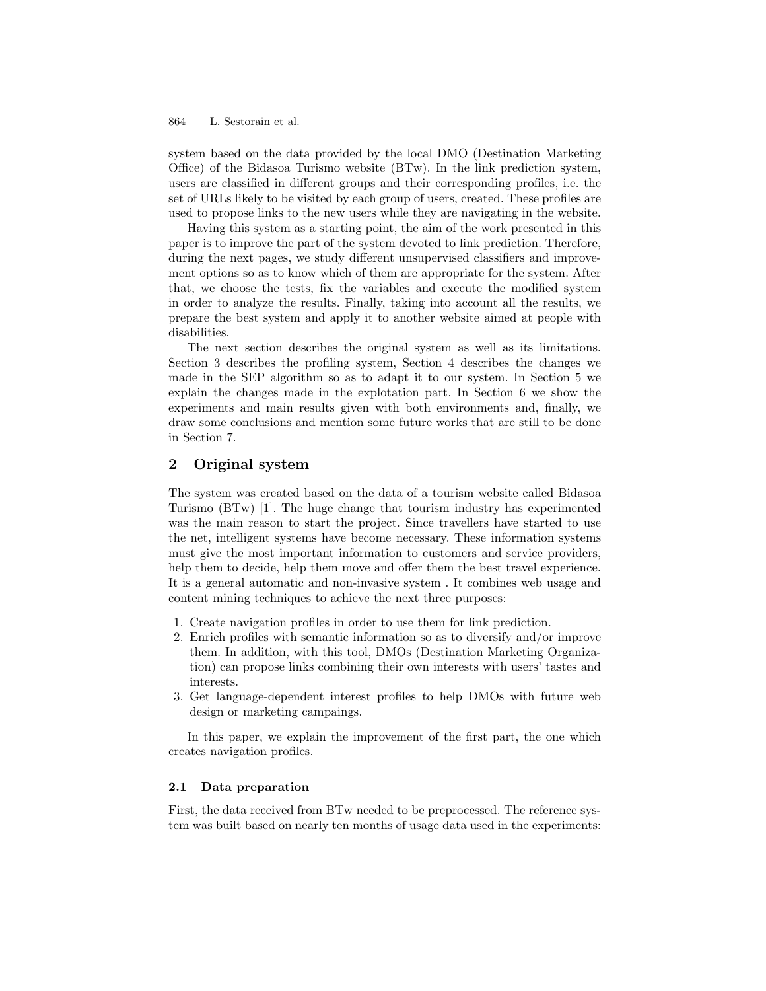system based on the data provided by the local DMO (Destination Marketing Office) of the Bidasoa Turismo website (BTw). In the link prediction system, users are classified in different groups and their corresponding profiles, i.e. the set of URLs likely to be visited by each group of users, created. These profiles are used to propose links to the new users while they are navigating in the website.

Having this system as a starting point, the aim of the work presented in this paper is to improve the part of the system devoted to link prediction. Therefore, during the next pages, we study different unsupervised classifiers and improvement options so as to know which of them are appropriate for the system. After that, we choose the tests, fix the variables and execute the modified system in order to analyze the results. Finally, taking into account all the results, we prepare the best system and apply it to another website aimed at people with disabilities.

The next section describes the original system as well as its limitations. Section 3 describes the profiling system, Section 4 describes the changes we made in the SEP algorithm so as to adapt it to our system. In Section 5 we explain the changes made in the explotation part. In Section 6 we show the experiments and main results given with both environments and, finally, we draw some conclusions and mention some future works that are still to be done in Section 7.

# 2 Original system

The system was created based on the data of a tourism website called Bidasoa Turismo (BTw) [1]. The huge change that tourism industry has experimented was the main reason to start the project. Since travellers have started to use the net, intelligent systems have become necessary. These information systems must give the most important information to customers and service providers, help them to decide, help them move and offer them the best travel experience. It is a general automatic and non-invasive system . It combines web usage and content mining techniques to achieve the next three purposes:

- 1. Create navigation profiles in order to use them for link prediction.
- 2. Enrich profiles with semantic information so as to diversify and/or improve them. In addition, with this tool, DMOs (Destination Marketing Organization) can propose links combining their own interests with users' tastes and interests.
- 3. Get language-dependent interest profiles to help DMOs with future web design or marketing campaings.

In this paper, we explain the improvement of the first part, the one which creates navigation profiles.

### 2.1 Data preparation

First, the data received from BTw needed to be preprocessed. The reference system was built based on nearly ten months of usage data used in the experiments: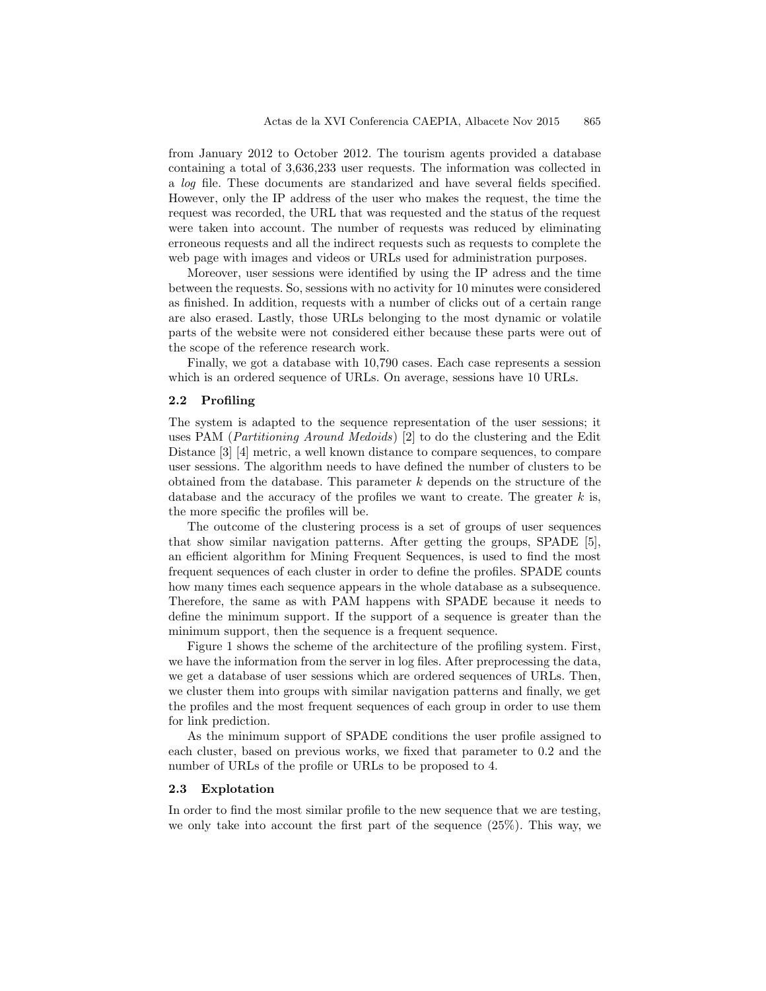from January 2012 to October 2012. The tourism agents provided a database containing a total of 3,636,233 user requests. The information was collected in a log file. These documents are standarized and have several fields specified. However, only the IP address of the user who makes the request, the time the request was recorded, the URL that was requested and the status of the request were taken into account. The number of requests was reduced by eliminating erroneous requests and all the indirect requests such as requests to complete the web page with images and videos or URLs used for administration purposes.

Moreover, user sessions were identified by using the IP adress and the time between the requests. So, sessions with no activity for 10 minutes were considered as finished. In addition, requests with a number of clicks out of a certain range are also erased. Lastly, those URLs belonging to the most dynamic or volatile parts of the website were not considered either because these parts were out of the scope of the reference research work.

Finally, we got a database with 10,790 cases. Each case represents a session which is an ordered sequence of URLs. On average, sessions have 10 URLs.

## 2.2 Profiling

The system is adapted to the sequence representation of the user sessions; it uses PAM (Partitioning Around Medoids) [2] to do the clustering and the Edit Distance [3] [4] metric, a well known distance to compare sequences, to compare user sessions. The algorithm needs to have defined the number of clusters to be obtained from the database. This parameter k depends on the structure of the database and the accuracy of the profiles we want to create. The greater  $k$  is, the more specific the profiles will be.

The outcome of the clustering process is a set of groups of user sequences that show similar navigation patterns. After getting the groups, SPADE [5], an efficient algorithm for Mining Frequent Sequences, is used to find the most frequent sequences of each cluster in order to define the profiles. SPADE counts how many times each sequence appears in the whole database as a subsequence. Therefore, the same as with PAM happens with SPADE because it needs to define the minimum support. If the support of a sequence is greater than the minimum support, then the sequence is a frequent sequence.

Figure 1 shows the scheme of the architecture of the profiling system. First, we have the information from the server in log files. After preprocessing the data, we get a database of user sessions which are ordered sequences of URLs. Then, we cluster them into groups with similar navigation patterns and finally, we get the profiles and the most frequent sequences of each group in order to use them for link prediction.

As the minimum support of SPADE conditions the user profile assigned to each cluster, based on previous works, we fixed that parameter to 0.2 and the number of URLs of the profile or URLs to be proposed to 4.

#### 2.3 Explotation

In order to find the most similar profile to the new sequence that we are testing, we only take into account the first part of the sequence  $(25\%)$ . This way, we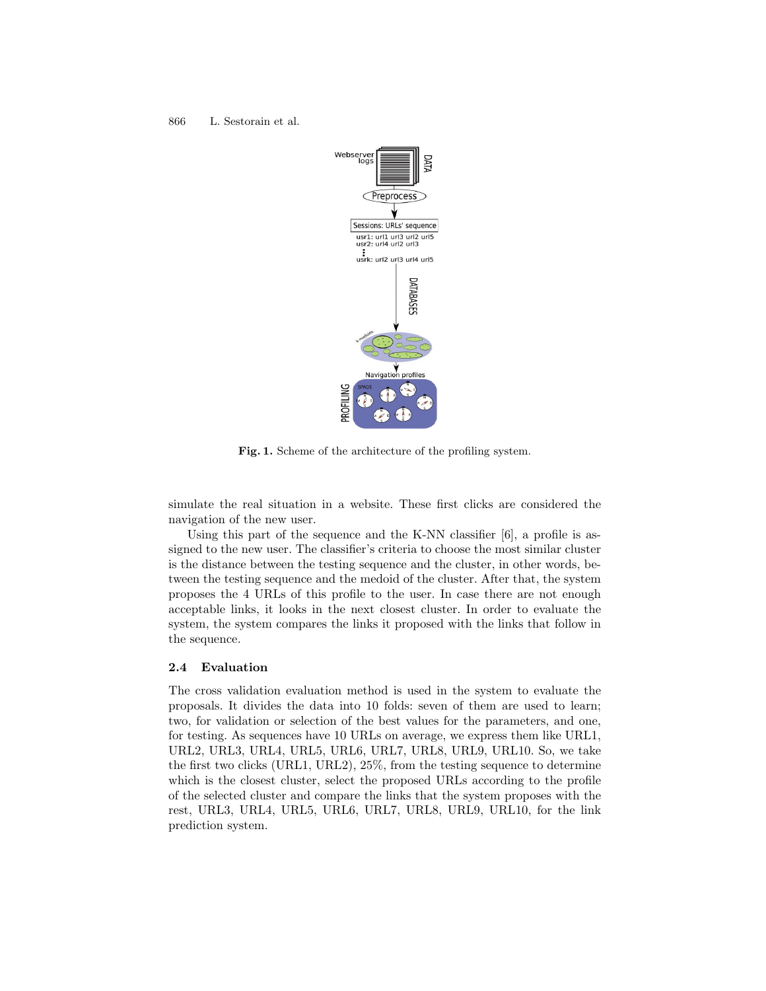

Fig. 1. Scheme of the architecture of the profiling system.

simulate the real situation in a website. These first clicks are considered the navigation of the new user.

Using this part of the sequence and the K-NN classifier [6], a profile is assigned to the new user. The classifier's criteria to choose the most similar cluster is the distance between the testing sequence and the cluster, in other words, between the testing sequence and the medoid of the cluster. After that, the system proposes the 4 URLs of this profile to the user. In case there are not enough acceptable links, it looks in the next closest cluster. In order to evaluate the system, the system compares the links it proposed with the links that follow in the sequence.

#### 2.4 Evaluation

The cross validation evaluation method is used in the system to evaluate the proposals. It divides the data into 10 folds: seven of them are used to learn; two, for validation or selection of the best values for the parameters, and one, for testing. As sequences have 10 URLs on average, we express them like URL1, URL2, URL3, URL4, URL5, URL6, URL7, URL8, URL9, URL10. So, we take the first two clicks (URL1, URL2), 25%, from the testing sequence to determine which is the closest cluster, select the proposed URLs according to the profile of the selected cluster and compare the links that the system proposes with the rest, URL3, URL4, URL5, URL6, URL7, URL8, URL9, URL10, for the link prediction system.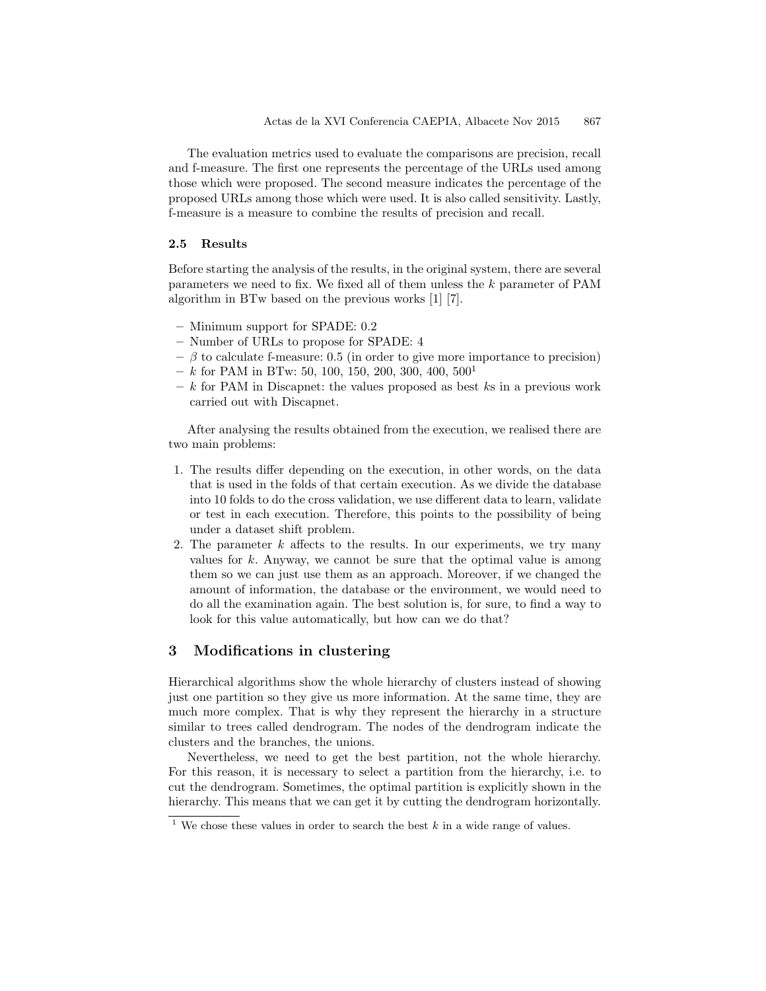The evaluation metrics used to evaluate the comparisons are precision, recall and f-measure. The first one represents the percentage of the URLs used among those which were proposed. The second measure indicates the percentage of the proposed URLs among those which were used. It is also called sensitivity. Lastly, f-measure is a measure to combine the results of precision and recall.

#### 2.5 Results

Before starting the analysis of the results, in the original system, there are several parameters we need to fix. We fixed all of them unless the k parameter of PAM algorithm in BTw based on the previous works [1] [7].

- Minimum support for SPADE: 0.2
- Number of URLs to propose for SPADE: 4
- $-$  β to calculate f-measure: 0.5 (in order to give more importance to precision)
- $-k$  for PAM in BTw: 50, 100, 150, 200, 300, 400, 500<sup>1</sup>
- $k$  for PAM in Discapnet: the values proposed as best ks in a previous work carried out with Discapnet.

After analysing the results obtained from the execution, we realised there are two main problems:

- 1. The results differ depending on the execution, in other words, on the data that is used in the folds of that certain execution. As we divide the database into 10 folds to do the cross validation, we use different data to learn, validate or test in each execution. Therefore, this points to the possibility of being under a dataset shift problem.
- 2. The parameter  $k$  affects to the results. In our experiments, we try many values for  $k$ . Anyway, we cannot be sure that the optimal value is among them so we can just use them as an approach. Moreover, if we changed the amount of information, the database or the environment, we would need to do all the examination again. The best solution is, for sure, to find a way to look for this value automatically, but how can we do that?

## 3 Modifications in clustering

Hierarchical algorithms show the whole hierarchy of clusters instead of showing just one partition so they give us more information. At the same time, they are much more complex. That is why they represent the hierarchy in a structure similar to trees called dendrogram. The nodes of the dendrogram indicate the clusters and the branches, the unions.

Nevertheless, we need to get the best partition, not the whole hierarchy. For this reason, it is necessary to select a partition from the hierarchy, i.e. to cut the dendrogram. Sometimes, the optimal partition is explicitly shown in the hierarchy. This means that we can get it by cutting the dendrogram horizontally.

<sup>&</sup>lt;sup>1</sup> We chose these values in order to search the best  $k$  in a wide range of values.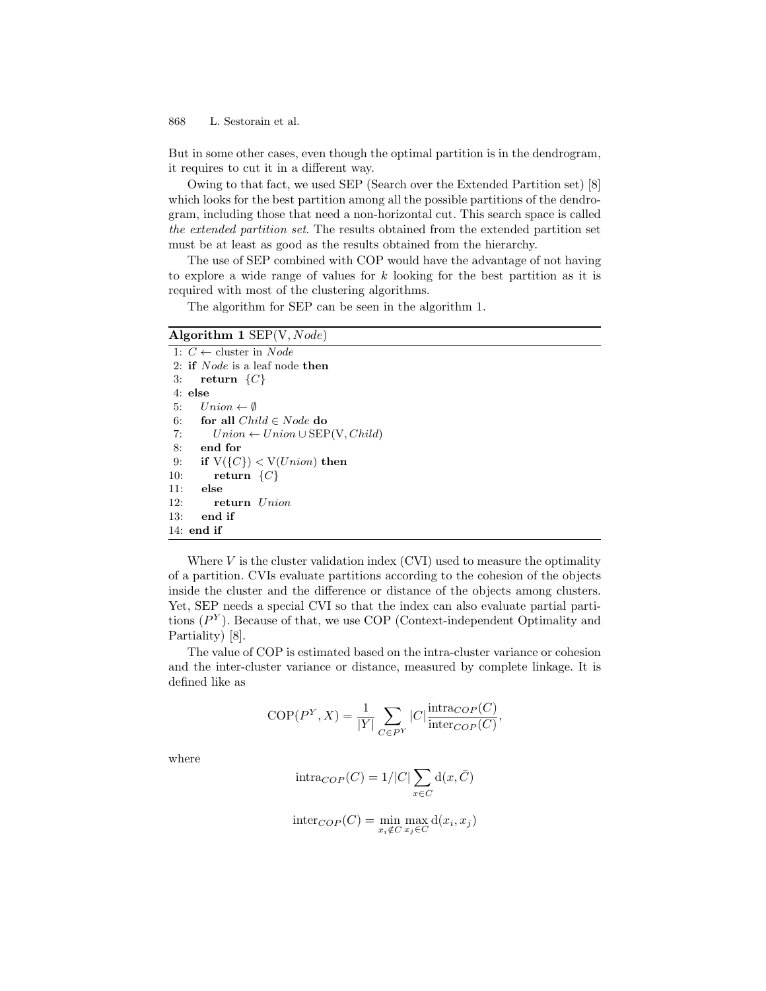But in some other cases, even though the optimal partition is in the dendrogram, it requires to cut it in a different way.

Owing to that fact, we used SEP (Search over the Extended Partition set) [8] which looks for the best partition among all the possible partitions of the dendrogram, including those that need a non-horizontal cut. This search space is called the extended partition set. The results obtained from the extended partition set must be at least as good as the results obtained from the hierarchy.

The use of SEP combined with COP would have the advantage of not having to explore a wide range of values for  $k$  looking for the best partition as it is required with most of the clustering algorithms.

The algorithm for SEP can be seen in the algorithm 1.

## Algorithm 1  $SEP(V,Node)$

1:  $C \leftarrow$  cluster in *Node* 2: if Node is a leaf node then 3: return  $\{C\}$ 4: else 5:  $Union \leftarrow \emptyset$ 6: for all  $Child \in Node$  do 7:  $Union \leftarrow Union \cup SEP(V, Child)$ 8: end for 9: if  $V({C}) < V(Union)$  then 10: return  $\{C\}$ 11: else 12: return Union 13: end if 14: end if

Where  $V$  is the cluster validation index  $(CVI)$  used to measure the optimality of a partition. CVIs evaluate partitions according to the cohesion of the objects inside the cluster and the difference or distance of the objects among clusters. Yet, SEP needs a special CVI so that the index can also evaluate partial partitions  $(P<sup>Y</sup>)$ . Because of that, we use COP (Context-independent Optimality and Partiality) [8].

The value of COP is estimated based on the intra-cluster variance or cohesion and the inter-cluster variance or distance, measured by complete linkage. It is defined like as

$$
COP(P^Y, X) = \frac{1}{|Y|} \sum_{C \in P^Y} |C| \frac{\text{intra}_{COP}(C)}{\text{inter}_{COP}(C)},
$$

where

$$
\mathrm{intra}_{COP}(C) = 1/|C| \sum_{x \in C} \mathrm{d}(x, \bar{C})
$$

$$
inter_{COP}(C) = \min_{x_i \notin C} \max_{x_j \in C} d(x_i, x_j)
$$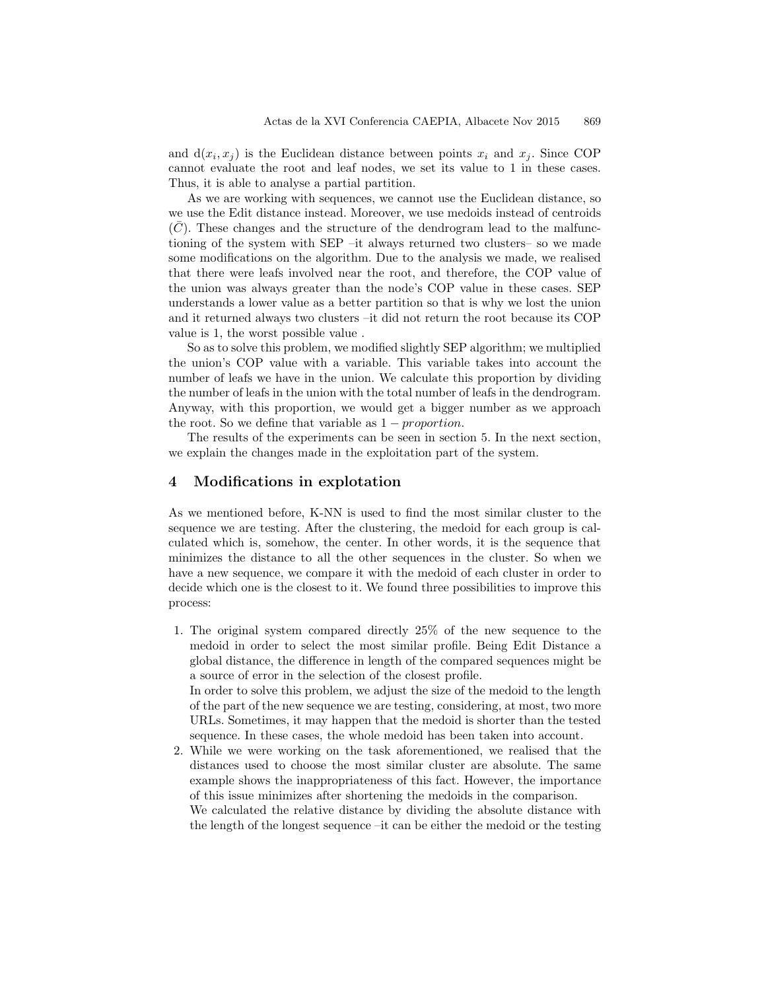and  $d(x_i, x_j)$  is the Euclidean distance between points  $x_i$  and  $x_j$ . Since COP cannot evaluate the root and leaf nodes, we set its value to 1 in these cases. Thus, it is able to analyse a partial partition.

As we are working with sequences, we cannot use the Euclidean distance, so we use the Edit distance instead. Moreover, we use medoids instead of centroids  $(C)$ . These changes and the structure of the dendrogram lead to the malfunctioning of the system with SEP –it always returned two clusters– so we made some modifications on the algorithm. Due to the analysis we made, we realised that there were leafs involved near the root, and therefore, the COP value of the union was always greater than the node's COP value in these cases. SEP understands a lower value as a better partition so that is why we lost the union and it returned always two clusters –it did not return the root because its COP value is 1, the worst possible value .

So as to solve this problem, we modified slightly SEP algorithm; we multiplied the union's COP value with a variable. This variable takes into account the number of leafs we have in the union. We calculate this proportion by dividing the number of leafs in the union with the total number of leafs in the dendrogram. Anyway, with this proportion, we would get a bigger number as we approach the root. So we define that variable as  $1 - proportion$ .

The results of the experiments can be seen in section 5. In the next section, we explain the changes made in the exploitation part of the system.

# 4 Modifications in explotation

As we mentioned before, K-NN is used to find the most similar cluster to the sequence we are testing. After the clustering, the medoid for each group is calculated which is, somehow, the center. In other words, it is the sequence that minimizes the distance to all the other sequences in the cluster. So when we have a new sequence, we compare it with the medoid of each cluster in order to decide which one is the closest to it. We found three possibilities to improve this process:

1. The original system compared directly 25% of the new sequence to the medoid in order to select the most similar profile. Being Edit Distance a global distance, the difference in length of the compared sequences might be a source of error in the selection of the closest profile. In order to solve this problem, we adjust the size of the medoid to the length of the part of the new sequence we are testing, considering, at most, two more

URLs. Sometimes, it may happen that the medoid is shorter than the tested sequence. In these cases, the whole medoid has been taken into account.

2. While we were working on the task aforementioned, we realised that the distances used to choose the most similar cluster are absolute. The same example shows the inappropriateness of this fact. However, the importance of this issue minimizes after shortening the medoids in the comparison. We calculated the relative distance by dividing the absolute distance with the length of the longest sequence –it can be either the medoid or the testing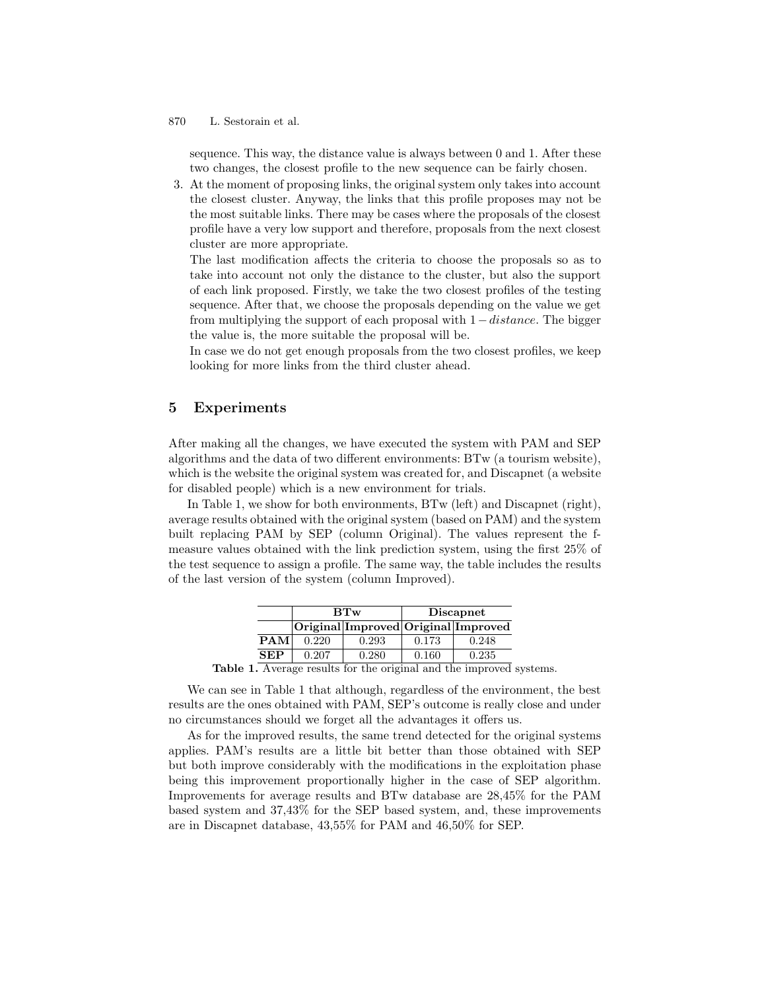sequence. This way, the distance value is always between 0 and 1. After these two changes, the closest profile to the new sequence can be fairly chosen.

3. At the moment of proposing links, the original system only takes into account the closest cluster. Anyway, the links that this profile proposes may not be the most suitable links. There may be cases where the proposals of the closest profile have a very low support and therefore, proposals from the next closest cluster are more appropriate.

The last modification affects the criteria to choose the proposals so as to take into account not only the distance to the cluster, but also the support of each link proposed. Firstly, we take the two closest profiles of the testing sequence. After that, we choose the proposals depending on the value we get from multiplying the support of each proposal with  $1 - distance$ . The bigger the value is, the more suitable the proposal will be.

In case we do not get enough proposals from the two closest profiles, we keep looking for more links from the third cluster ahead.

## 5 Experiments

After making all the changes, we have executed the system with PAM and SEP algorithms and the data of two different environments: BTw (a tourism website), which is the website the original system was created for, and Discapnet (a website for disabled people) which is a new environment for trials.

In Table 1, we show for both environments, BTw (left) and Discapnet (right), average results obtained with the original system (based on PAM) and the system built replacing PAM by SEP (column Original). The values represent the fmeasure values obtained with the link prediction system, using the first 25% of the test sequence to assign a profile. The same way, the table includes the results of the last version of the system (column Improved).

|            | BTw   |                                     | <b>Discapnet</b> |       |
|------------|-------|-------------------------------------|------------------|-------|
|            |       | Original Improved Original Improved |                  |       |
| PAM        | 0.220 | 0.293                               | 0.173            | 0.248 |
| <b>SEP</b> | 0.207 | 0.280                               | 0.160            | 0.235 |
|            |       |                                     |                  |       |

Table 1. Average results for the original and the improved systems.

We can see in Table 1 that although, regardless of the environment, the best results are the ones obtained with PAM, SEP's outcome is really close and under no circumstances should we forget all the advantages it offers us.

As for the improved results, the same trend detected for the original systems applies. PAM's results are a little bit better than those obtained with SEP but both improve considerably with the modifications in the exploitation phase being this improvement proportionally higher in the case of SEP algorithm. Improvements for average results and BTw database are 28,45% for the PAM based system and 37,43% for the SEP based system, and, these improvements are in Discapnet database, 43,55% for PAM and 46,50% for SEP.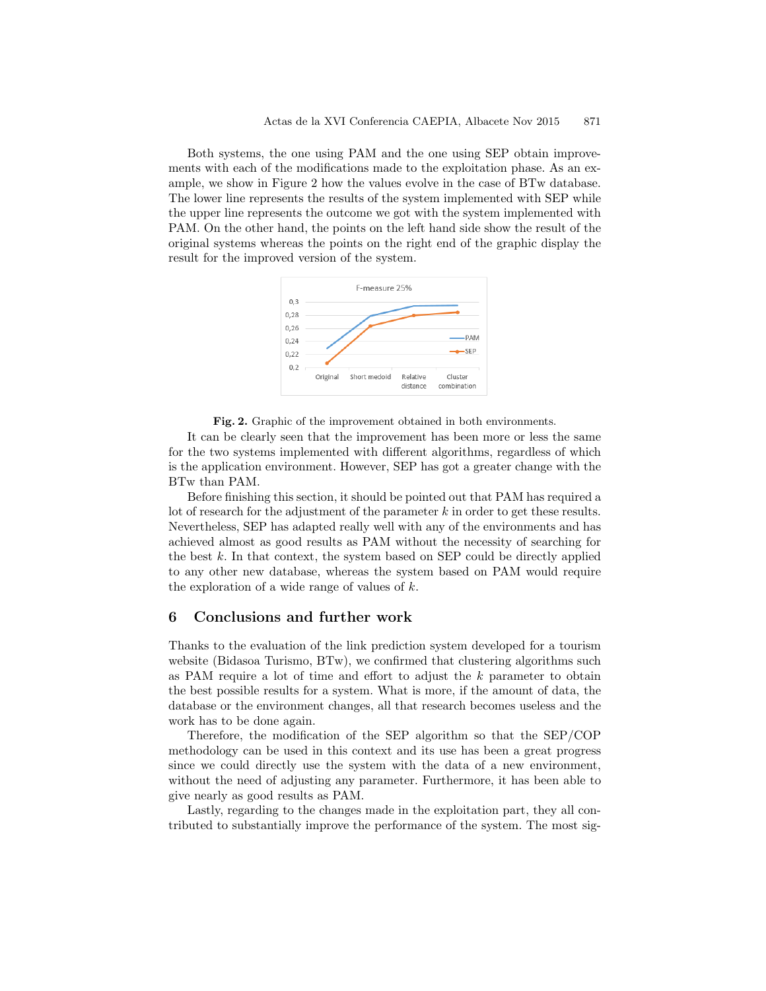Both systems, the one using PAM and the one using SEP obtain improvements with each of the modifications made to the exploitation phase. As an example, we show in Figure 2 how the values evolve in the case of BTw database. The lower line represents the results of the system implemented with SEP while the upper line represents the outcome we got with the system implemented with PAM. On the other hand, the points on the left hand side show the result of the original systems whereas the points on the right end of the graphic display the result for the improved version of the system.





It can be clearly seen that the improvement has been more or less the same for the two systems implemented with different algorithms, regardless of which is the application environment. However, SEP has got a greater change with the BTw than PAM.

Before finishing this section, it should be pointed out that PAM has required a lot of research for the adjustment of the parameter  $k$  in order to get these results. Nevertheless, SEP has adapted really well with any of the environments and has achieved almost as good results as PAM without the necessity of searching for the best  $k$ . In that context, the system based on SEP could be directly applied to any other new database, whereas the system based on PAM would require the exploration of a wide range of values of  $k$ .

# 6 Conclusions and further work

Thanks to the evaluation of the link prediction system developed for a tourism website (Bidasoa Turismo, BTw), we confirmed that clustering algorithms such as PAM require a lot of time and effort to adjust the  $k$  parameter to obtain the best possible results for a system. What is more, if the amount of data, the database or the environment changes, all that research becomes useless and the work has to be done again.

Therefore, the modification of the SEP algorithm so that the SEP/COP methodology can be used in this context and its use has been a great progress since we could directly use the system with the data of a new environment, without the need of adjusting any parameter. Furthermore, it has been able to give nearly as good results as PAM.

Lastly, regarding to the changes made in the exploitation part, they all contributed to substantially improve the performance of the system. The most sig-